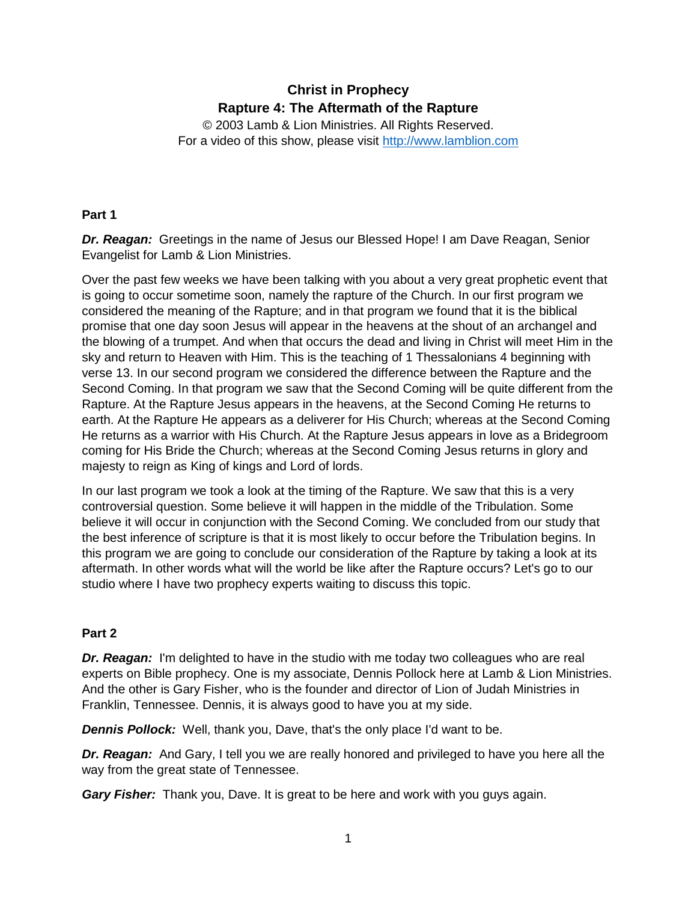# **Christ in Prophecy Rapture 4: The Aftermath of the Rapture**

© 2003 Lamb & Lion Ministries. All Rights Reserved. For a video of this show, please visit [http://www.lamblion.com](http://www.lamblion.com/)

# **Part 1**

*Dr. Reagan:* Greetings in the name of Jesus our Blessed Hope! I am Dave Reagan, Senior Evangelist for Lamb & Lion Ministries.

Over the past few weeks we have been talking with you about a very great prophetic event that is going to occur sometime soon, namely the rapture of the Church. In our first program we considered the meaning of the Rapture; and in that program we found that it is the biblical promise that one day soon Jesus will appear in the heavens at the shout of an archangel and the blowing of a trumpet. And when that occurs the dead and living in Christ will meet Him in the sky and return to Heaven with Him. This is the teaching of 1 Thessalonians 4 beginning with verse 13. In our second program we considered the difference between the Rapture and the Second Coming. In that program we saw that the Second Coming will be quite different from the Rapture. At the Rapture Jesus appears in the heavens, at the Second Coming He returns to earth. At the Rapture He appears as a deliverer for His Church; whereas at the Second Coming He returns as a warrior with His Church. At the Rapture Jesus appears in love as a Bridegroom coming for His Bride the Church; whereas at the Second Coming Jesus returns in glory and majesty to reign as King of kings and Lord of lords.

In our last program we took a look at the timing of the Rapture. We saw that this is a very controversial question. Some believe it will happen in the middle of the Tribulation. Some believe it will occur in conjunction with the Second Coming. We concluded from our study that the best inference of scripture is that it is most likely to occur before the Tribulation begins. In this program we are going to conclude our consideration of the Rapture by taking a look at its aftermath. In other words what will the world be like after the Rapture occurs? Let's go to our studio where I have two prophecy experts waiting to discuss this topic.

# **Part 2**

*Dr. Reagan:* I'm delighted to have in the studio with me today two colleagues who are real experts on Bible prophecy. One is my associate, Dennis Pollock here at Lamb & Lion Ministries. And the other is Gary Fisher, who is the founder and director of Lion of Judah Ministries in Franklin, Tennessee. Dennis, it is always good to have you at my side.

*Dennis Pollock:* Well, thank you, Dave, that's the only place I'd want to be.

*Dr. Reagan:* And Gary, I tell you we are really honored and privileged to have you here all the way from the great state of Tennessee.

*Gary Fisher:* Thank you, Dave. It is great to be here and work with you guys again.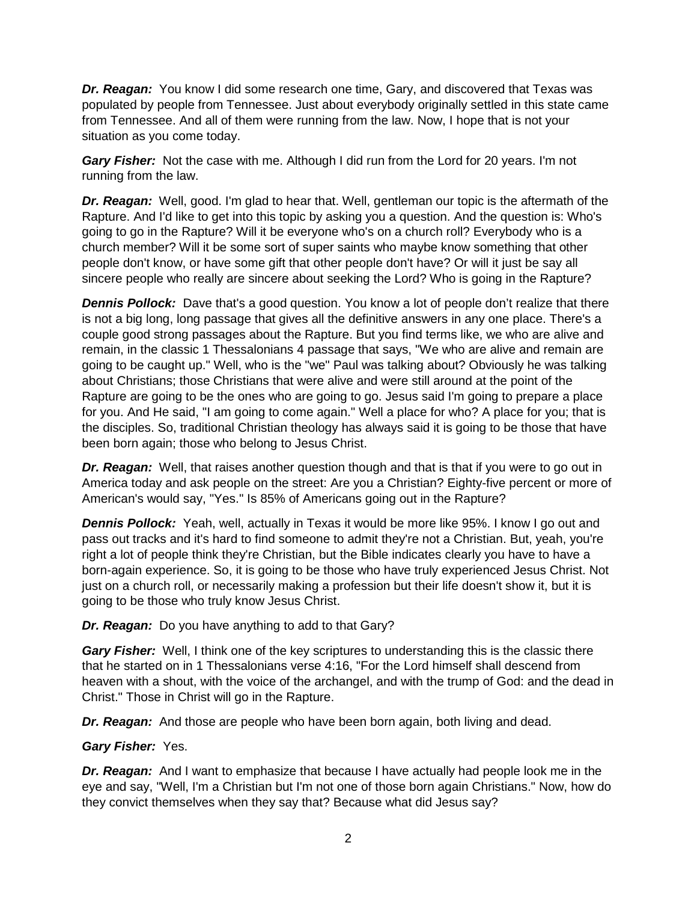*Dr. Reagan:* You know I did some research one time, Gary, and discovered that Texas was populated by people from Tennessee. Just about everybody originally settled in this state came from Tennessee. And all of them were running from the law. Now, I hope that is not your situation as you come today.

*Gary Fisher:* Not the case with me. Although I did run from the Lord for 20 years. I'm not running from the law.

*Dr. Reagan:* Well, good. I'm glad to hear that. Well, gentleman our topic is the aftermath of the Rapture. And I'd like to get into this topic by asking you a question. And the question is: Who's going to go in the Rapture? Will it be everyone who's on a church roll? Everybody who is a church member? Will it be some sort of super saints who maybe know something that other people don't know, or have some gift that other people don't have? Or will it just be say all sincere people who really are sincere about seeking the Lord? Who is going in the Rapture?

**Dennis Pollock:** Dave that's a good question. You know a lot of people don't realize that there is not a big long, long passage that gives all the definitive answers in any one place. There's a couple good strong passages about the Rapture. But you find terms like, we who are alive and remain, in the classic 1 Thessalonians 4 passage that says, "We who are alive and remain are going to be caught up." Well, who is the "we" Paul was talking about? Obviously he was talking about Christians; those Christians that were alive and were still around at the point of the Rapture are going to be the ones who are going to go. Jesus said I'm going to prepare a place for you. And He said, "I am going to come again." Well a place for who? A place for you; that is the disciples. So, traditional Christian theology has always said it is going to be those that have been born again; those who belong to Jesus Christ.

*Dr. Reagan:* Well, that raises another question though and that is that if you were to go out in America today and ask people on the street: Are you a Christian? Eighty-five percent or more of American's would say, "Yes." Is 85% of Americans going out in the Rapture?

**Dennis Pollock:** Yeah, well, actually in Texas it would be more like 95%. I know I go out and pass out tracks and it's hard to find someone to admit they're not a Christian. But, yeah, you're right a lot of people think they're Christian, but the Bible indicates clearly you have to have a born-again experience. So, it is going to be those who have truly experienced Jesus Christ. Not just on a church roll, or necessarily making a profession but their life doesn't show it, but it is going to be those who truly know Jesus Christ.

*Dr. Reagan:* Do you have anything to add to that Gary?

**Gary Fisher:** Well, I think one of the key scriptures to understanding this is the classic there that he started on in 1 Thessalonians verse 4:16, "For the Lord himself shall descend from heaven with a shout, with the voice of the archangel, and with the trump of God: and the dead in Christ." Those in Christ will go in the Rapture.

*Dr. Reagan:* And those are people who have been born again, both living and dead.

# *Gary Fisher:* Yes.

*Dr. Reagan:* And I want to emphasize that because I have actually had people look me in the eye and say, "Well, I'm a Christian but I'm not one of those born again Christians." Now, how do they convict themselves when they say that? Because what did Jesus say?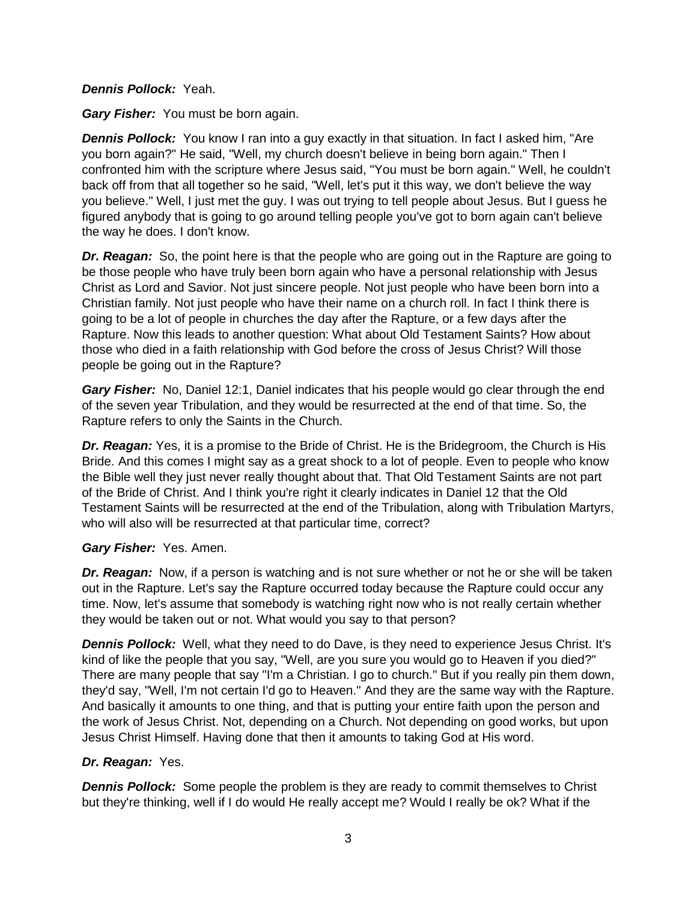#### *Dennis Pollock:* Yeah.

*Gary Fisher:* You must be born again.

*Dennis Pollock:* You know I ran into a guy exactly in that situation. In fact I asked him, "Are you born again?" He said, "Well, my church doesn't believe in being born again." Then I confronted him with the scripture where Jesus said, "You must be born again." Well, he couldn't back off from that all together so he said, "Well, let's put it this way, we don't believe the way you believe." Well, I just met the guy. I was out trying to tell people about Jesus. But I guess he figured anybody that is going to go around telling people you've got to born again can't believe the way he does. I don't know.

*Dr. Reagan:* So, the point here is that the people who are going out in the Rapture are going to be those people who have truly been born again who have a personal relationship with Jesus Christ as Lord and Savior. Not just sincere people. Not just people who have been born into a Christian family. Not just people who have their name on a church roll. In fact I think there is going to be a lot of people in churches the day after the Rapture, or a few days after the Rapture. Now this leads to another question: What about Old Testament Saints? How about those who died in a faith relationship with God before the cross of Jesus Christ? Will those people be going out in the Rapture?

*Gary Fisher:* No, Daniel 12:1, Daniel indicates that his people would go clear through the end of the seven year Tribulation, and they would be resurrected at the end of that time. So, the Rapture refers to only the Saints in the Church.

*Dr. Reagan:* Yes, it is a promise to the Bride of Christ. He is the Bridegroom, the Church is His Bride. And this comes I might say as a great shock to a lot of people. Even to people who know the Bible well they just never really thought about that. That Old Testament Saints are not part of the Bride of Christ. And I think you're right it clearly indicates in Daniel 12 that the Old Testament Saints will be resurrected at the end of the Tribulation, along with Tribulation Martyrs, who will also will be resurrected at that particular time, correct?

# *Gary Fisher:* Yes. Amen.

*Dr. Reagan:* Now, if a person is watching and is not sure whether or not he or she will be taken out in the Rapture. Let's say the Rapture occurred today because the Rapture could occur any time. Now, let's assume that somebody is watching right now who is not really certain whether they would be taken out or not. What would you say to that person?

**Dennis Pollock:** Well, what they need to do Dave, is they need to experience Jesus Christ. It's kind of like the people that you say, "Well, are you sure you would go to Heaven if you died?" There are many people that say "I'm a Christian. I go to church." But if you really pin them down, they'd say, "Well, I'm not certain I'd go to Heaven." And they are the same way with the Rapture. And basically it amounts to one thing, and that is putting your entire faith upon the person and the work of Jesus Christ. Not, depending on a Church. Not depending on good works, but upon Jesus Christ Himself. Having done that then it amounts to taking God at His word.

# *Dr. Reagan:* Yes.

*Dennis Pollock:* Some people the problem is they are ready to commit themselves to Christ but they're thinking, well if I do would He really accept me? Would I really be ok? What if the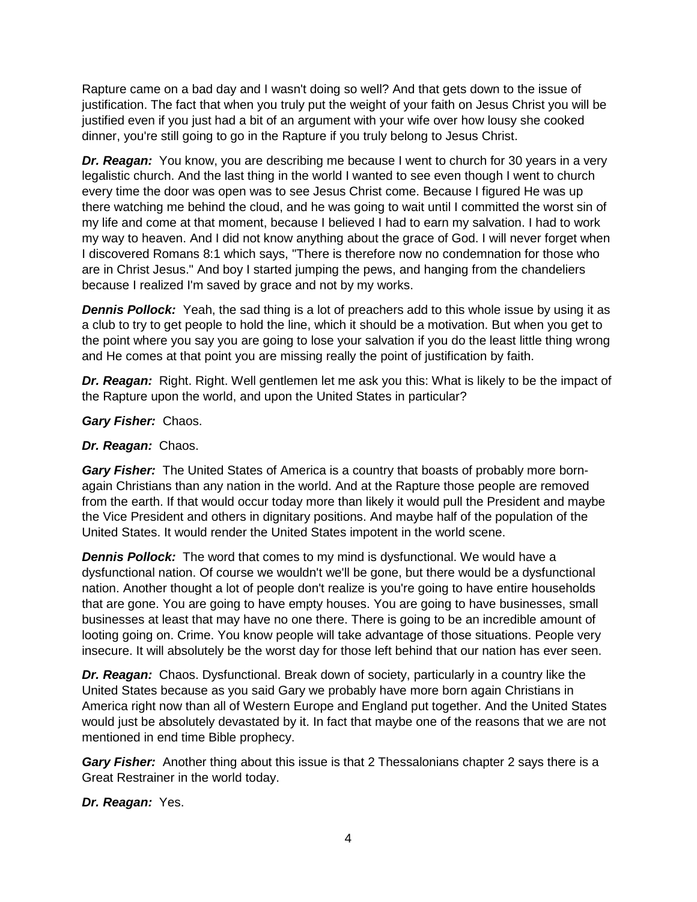Rapture came on a bad day and I wasn't doing so well? And that gets down to the issue of justification. The fact that when you truly put the weight of your faith on Jesus Christ you will be justified even if you just had a bit of an argument with your wife over how lousy she cooked dinner, you're still going to go in the Rapture if you truly belong to Jesus Christ.

**Dr. Reagan:** You know, you are describing me because I went to church for 30 years in a very legalistic church. And the last thing in the world I wanted to see even though I went to church every time the door was open was to see Jesus Christ come. Because I figured He was up there watching me behind the cloud, and he was going to wait until I committed the worst sin of my life and come at that moment, because I believed I had to earn my salvation. I had to work my way to heaven. And I did not know anything about the grace of God. I will never forget when I discovered Romans 8:1 which says, "There is therefore now no condemnation for those who are in Christ Jesus." And boy I started jumping the pews, and hanging from the chandeliers because I realized I'm saved by grace and not by my works.

*Dennis Pollock:* Yeah, the sad thing is a lot of preachers add to this whole issue by using it as a club to try to get people to hold the line, which it should be a motivation. But when you get to the point where you say you are going to lose your salvation if you do the least little thing wrong and He comes at that point you are missing really the point of justification by faith.

*Dr. Reagan:* Right. Right. Well gentlemen let me ask you this: What is likely to be the impact of the Rapture upon the world, and upon the United States in particular?

*Gary Fisher:* Chaos.

#### *Dr. Reagan:* Chaos.

*Gary Fisher:* The United States of America is a country that boasts of probably more bornagain Christians than any nation in the world. And at the Rapture those people are removed from the earth. If that would occur today more than likely it would pull the President and maybe the Vice President and others in dignitary positions. And maybe half of the population of the United States. It would render the United States impotent in the world scene.

*Dennis Pollock:* The word that comes to my mind is dysfunctional. We would have a dysfunctional nation. Of course we wouldn't we'll be gone, but there would be a dysfunctional nation. Another thought a lot of people don't realize is you're going to have entire households that are gone. You are going to have empty houses. You are going to have businesses, small businesses at least that may have no one there. There is going to be an incredible amount of looting going on. Crime. You know people will take advantage of those situations. People very insecure. It will absolutely be the worst day for those left behind that our nation has ever seen.

*Dr. Reagan:* Chaos. Dysfunctional. Break down of society, particularly in a country like the United States because as you said Gary we probably have more born again Christians in America right now than all of Western Europe and England put together. And the United States would just be absolutely devastated by it. In fact that maybe one of the reasons that we are not mentioned in end time Bible prophecy.

**Gary Fisher:** Another thing about this issue is that 2 Thessalonians chapter 2 says there is a Great Restrainer in the world today.

*Dr. Reagan:* Yes.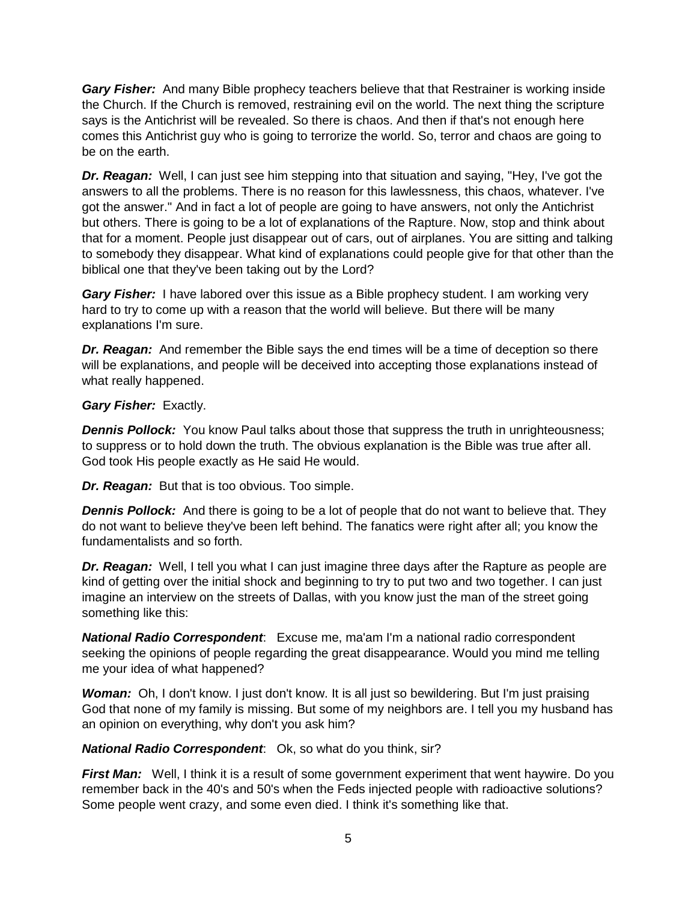*Gary Fisher:* And many Bible prophecy teachers believe that that Restrainer is working inside the Church. If the Church is removed, restraining evil on the world. The next thing the scripture says is the Antichrist will be revealed. So there is chaos. And then if that's not enough here comes this Antichrist guy who is going to terrorize the world. So, terror and chaos are going to be on the earth.

*Dr. Reagan:* Well, I can just see him stepping into that situation and saying, "Hey, I've got the answers to all the problems. There is no reason for this lawlessness, this chaos, whatever. I've got the answer." And in fact a lot of people are going to have answers, not only the Antichrist but others. There is going to be a lot of explanations of the Rapture. Now, stop and think about that for a moment. People just disappear out of cars, out of airplanes. You are sitting and talking to somebody they disappear. What kind of explanations could people give for that other than the biblical one that they've been taking out by the Lord?

*Gary Fisher:* I have labored over this issue as a Bible prophecy student. I am working very hard to try to come up with a reason that the world will believe. But there will be many explanations I'm sure.

*Dr. Reagan:* And remember the Bible says the end times will be a time of deception so there will be explanations, and people will be deceived into accepting those explanations instead of what really happened.

# *Gary Fisher:* Exactly.

**Dennis Pollock:** You know Paul talks about those that suppress the truth in unrighteousness; to suppress or to hold down the truth. The obvious explanation is the Bible was true after all. God took His people exactly as He said He would.

*Dr. Reagan:* But that is too obvious. Too simple.

**Dennis Pollock:** And there is going to be a lot of people that do not want to believe that. They do not want to believe they've been left behind. The fanatics were right after all; you know the fundamentalists and so forth.

*Dr. Reagan:* Well, I tell you what I can just imagine three days after the Rapture as people are kind of getting over the initial shock and beginning to try to put two and two together. I can just imagine an interview on the streets of Dallas, with you know just the man of the street going something like this:

*National Radio Correspondent*: Excuse me, ma'am I'm a national radio correspondent seeking the opinions of people regarding the great disappearance. Would you mind me telling me your idea of what happened?

*Woman:* Oh, I don't know. I just don't know. It is all just so bewildering. But I'm just praising God that none of my family is missing. But some of my neighbors are. I tell you my husband has an opinion on everything, why don't you ask him?

*National Radio Correspondent*: Ok, so what do you think, sir?

*First Man:* Well, I think it is a result of some government experiment that went haywire. Do you remember back in the 40's and 50's when the Feds injected people with radioactive solutions? Some people went crazy, and some even died. I think it's something like that.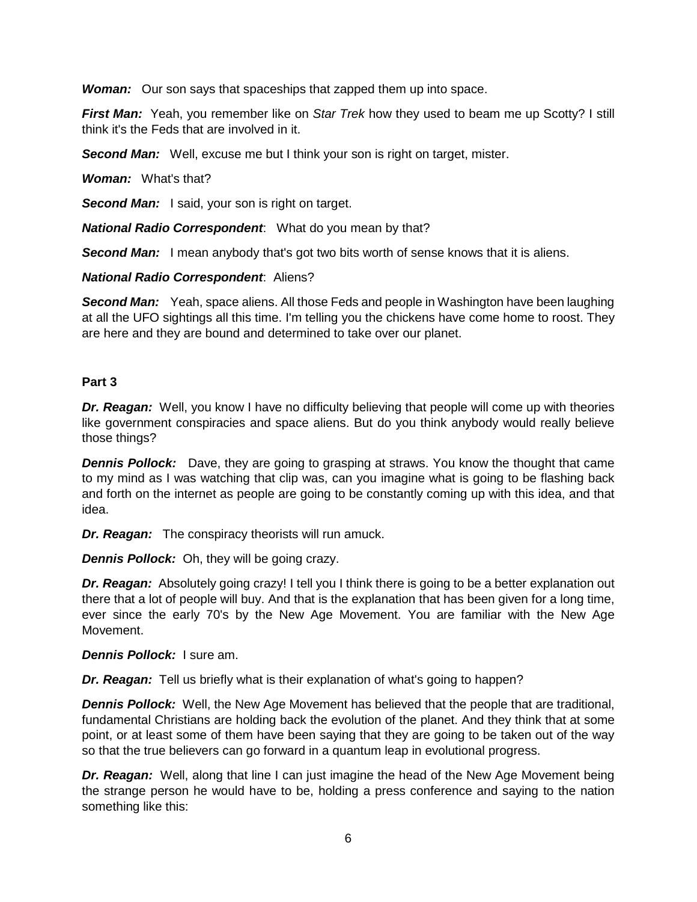*Woman:* Our son says that spaceships that zapped them up into space.

*First Man:* Yeah, you remember like on *Star Trek* how they used to beam me up Scotty? I still think it's the Feds that are involved in it.

*Second Man:* Well, excuse me but I think your son is right on target, mister.

*Woman:* What's that?

**Second Man:** I said, your son is right on target.

*National Radio Correspondent*: What do you mean by that?

**Second Man:** I mean anybody that's got two bits worth of sense knows that it is aliens.

#### *National Radio Correspondent*: Aliens?

**Second Man:** Yeah, space aliens. All those Feds and people in Washington have been laughing at all the UFO sightings all this time. I'm telling you the chickens have come home to roost. They are here and they are bound and determined to take over our planet.

# **Part 3**

*Dr. Reagan:* Well, you know I have no difficulty believing that people will come up with theories like government conspiracies and space aliens. But do you think anybody would really believe those things?

*Dennis Pollock:* Dave, they are going to grasping at straws. You know the thought that came to my mind as I was watching that clip was, can you imagine what is going to be flashing back and forth on the internet as people are going to be constantly coming up with this idea, and that idea.

*Dr. Reagan:* The conspiracy theorists will run amuck.

*Dennis Pollock:* Oh, they will be going crazy.

*Dr. Reagan:* Absolutely going crazy! I tell you I think there is going to be a better explanation out there that a lot of people will buy. And that is the explanation that has been given for a long time, ever since the early 70's by the New Age Movement. You are familiar with the New Age Movement.

*Dennis Pollock:* I sure am.

*Dr. Reagan:* Tell us briefly what is their explanation of what's going to happen?

*Dennis Pollock:* Well, the New Age Movement has believed that the people that are traditional, fundamental Christians are holding back the evolution of the planet. And they think that at some point, or at least some of them have been saying that they are going to be taken out of the way so that the true believers can go forward in a quantum leap in evolutional progress.

*Dr. Reagan:* Well, along that line I can just imagine the head of the New Age Movement being the strange person he would have to be, holding a press conference and saying to the nation something like this: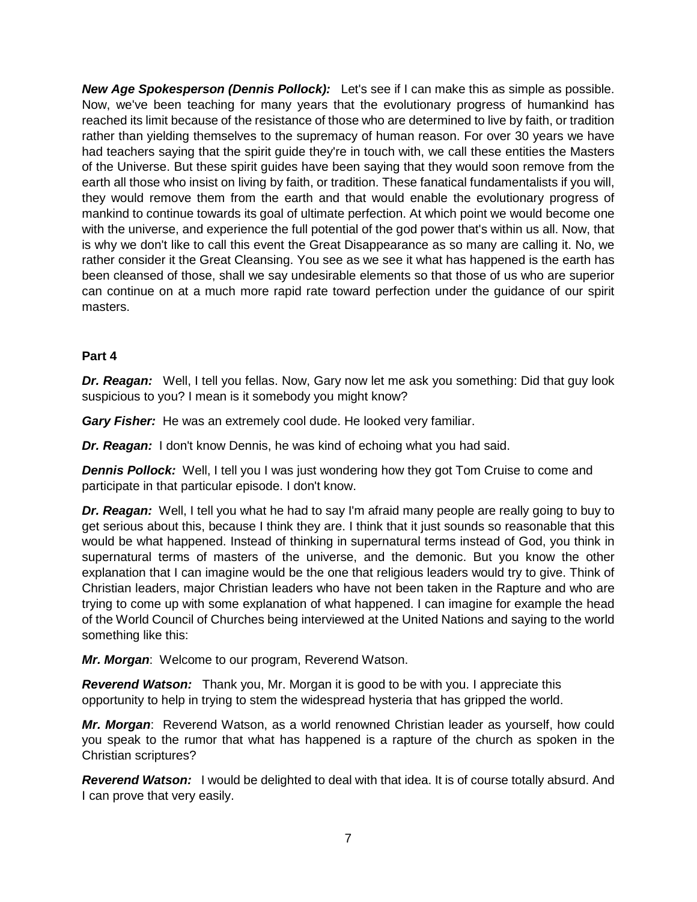*New Age Spokesperson (Dennis Pollock):* Let's see if I can make this as simple as possible. Now, we've been teaching for many years that the evolutionary progress of humankind has reached its limit because of the resistance of those who are determined to live by faith, or tradition rather than yielding themselves to the supremacy of human reason. For over 30 years we have had teachers saying that the spirit guide they're in touch with, we call these entities the Masters of the Universe. But these spirit guides have been saying that they would soon remove from the earth all those who insist on living by faith, or tradition. These fanatical fundamentalists if you will, they would remove them from the earth and that would enable the evolutionary progress of mankind to continue towards its goal of ultimate perfection. At which point we would become one with the universe, and experience the full potential of the god power that's within us all. Now, that is why we don't like to call this event the Great Disappearance as so many are calling it. No, we rather consider it the Great Cleansing. You see as we see it what has happened is the earth has been cleansed of those, shall we say undesirable elements so that those of us who are superior can continue on at a much more rapid rate toward perfection under the guidance of our spirit masters.

# **Part 4**

*Dr. Reagan:* Well, I tell you fellas. Now, Gary now let me ask you something: Did that guy look suspicious to you? I mean is it somebody you might know?

*Gary Fisher:* He was an extremely cool dude. He looked very familiar.

*Dr. Reagan:* I don't know Dennis, he was kind of echoing what you had said.

**Dennis Pollock:** Well, I tell you I was just wondering how they got Tom Cruise to come and participate in that particular episode. I don't know.

*Dr. Reagan:* Well, I tell you what he had to say I'm afraid many people are really going to buy to get serious about this, because I think they are. I think that it just sounds so reasonable that this would be what happened. Instead of thinking in supernatural terms instead of God, you think in supernatural terms of masters of the universe, and the demonic. But you know the other explanation that I can imagine would be the one that religious leaders would try to give. Think of Christian leaders, major Christian leaders who have not been taken in the Rapture and who are trying to come up with some explanation of what happened. I can imagine for example the head of the World Council of Churches being interviewed at the United Nations and saying to the world something like this:

*Mr. Morgan*: Welcome to our program, Reverend Watson.

*Reverend Watson:* Thank you, Mr. Morgan it is good to be with you. I appreciate this opportunity to help in trying to stem the widespread hysteria that has gripped the world.

*Mr. Morgan*: Reverend Watson, as a world renowned Christian leader as yourself, how could you speak to the rumor that what has happened is a rapture of the church as spoken in the Christian scriptures?

*Reverend Watson:* I would be delighted to deal with that idea. It is of course totally absurd. And I can prove that very easily.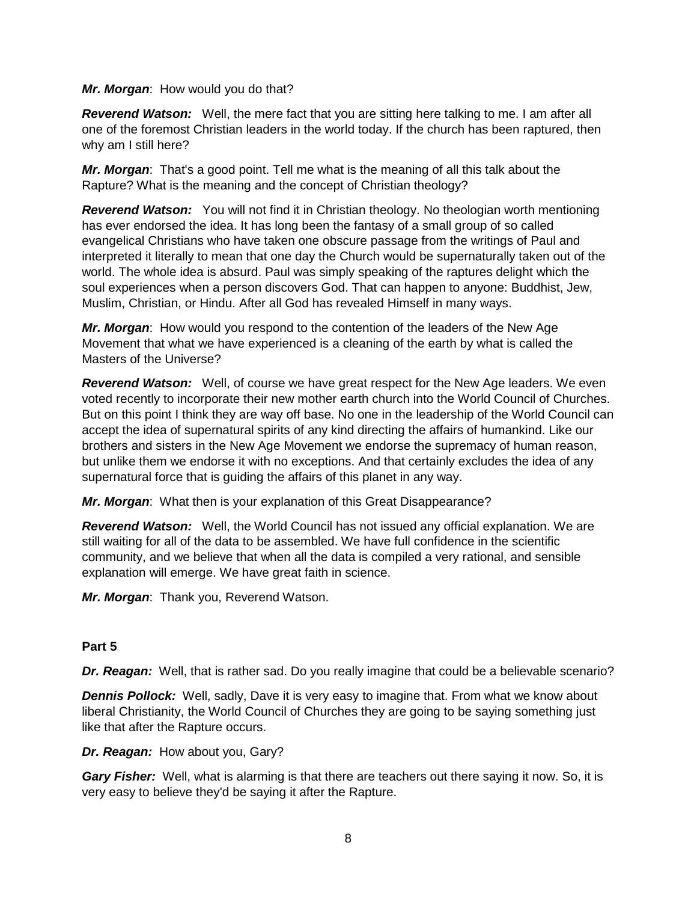#### *Mr. Morgan*: How would you do that?

*Reverend Watson:* Well, the mere fact that you are sitting here talking to me. I am after all one of the foremost Christian leaders in the world today. If the church has been raptured, then why am I still here?

*Mr. Morgan*: That's a good point. Tell me what is the meaning of all this talk about the Rapture? What is the meaning and the concept of Christian theology?

**Reverend Watson:** You will not find it in Christian theology. No theologian worth mentioning has ever endorsed the idea. It has long been the fantasy of a small group of so called evangelical Christians who have taken one obscure passage from the writings of Paul and interpreted it literally to mean that one day the Church would be supernaturally taken out of the world. The whole idea is absurd. Paul was simply speaking of the raptures delight which the soul experiences when a person discovers God. That can happen to anyone: Buddhist, Jew, Muslim, Christian, or Hindu. After all God has revealed Himself in many ways.

*Mr. Morgan*: How would you respond to the contention of the leaders of the New Age Movement that what we have experienced is a cleaning of the earth by what is called the Masters of the Universe?

*Reverend Watson:* Well, of course we have great respect for the New Age leaders. We even voted recently to incorporate their new mother earth church into the World Council of Churches. But on this point I think they are way off base. No one in the leadership of the World Council can accept the idea of supernatural spirits of any kind directing the affairs of humankind. Like our brothers and sisters in the New Age Movement we endorse the supremacy of human reason, but unlike them we endorse it with no exceptions. And that certainly excludes the idea of any supernatural force that is guiding the affairs of this planet in any way.

*Mr. Morgan*: What then is your explanation of this Great Disappearance?

*Reverend Watson:* Well, the World Council has not issued any official explanation. We are still waiting for all of the data to be assembled. We have full confidence in the scientific community, and we believe that when all the data is compiled a very rational, and sensible explanation will emerge. We have great faith in science.

*Mr. Morgan*: Thank you, Reverend Watson.

# **Part 5**

*Dr. Reagan:* Well, that is rather sad. Do you really imagine that could be a believable scenario?

*Dennis Pollock:* Well, sadly, Dave it is very easy to imagine that. From what we know about liberal Christianity, the World Council of Churches they are going to be saying something just like that after the Rapture occurs.

*Dr. Reagan:* How about you, Gary?

*Gary Fisher:* Well, what is alarming is that there are teachers out there saying it now. So, it is very easy to believe they'd be saying it after the Rapture.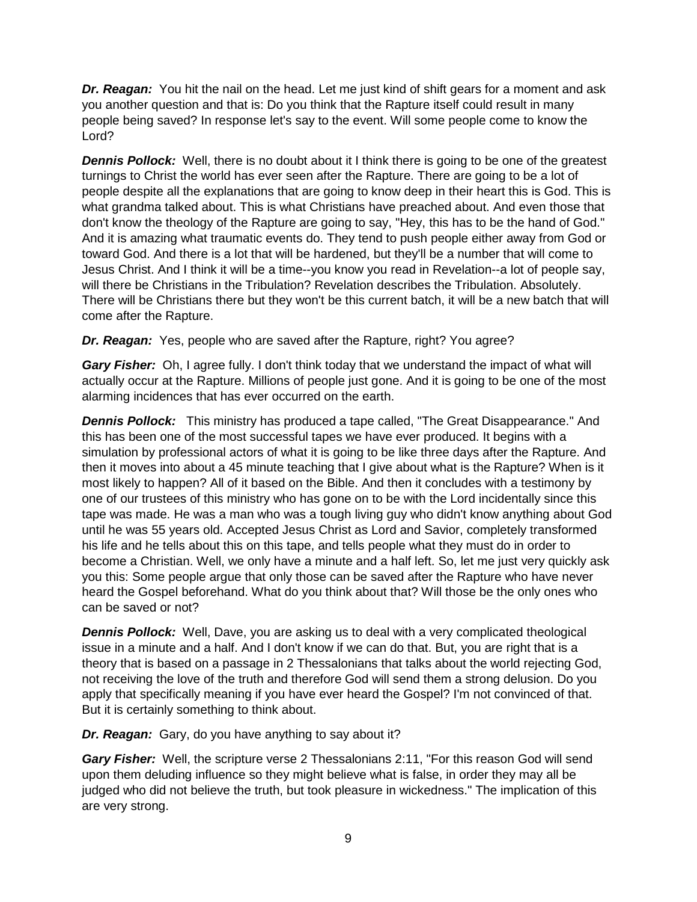**Dr. Reagan:** You hit the nail on the head. Let me just kind of shift gears for a moment and ask you another question and that is: Do you think that the Rapture itself could result in many people being saved? In response let's say to the event. Will some people come to know the Lord?

**Dennis Pollock:** Well, there is no doubt about it I think there is going to be one of the greatest turnings to Christ the world has ever seen after the Rapture. There are going to be a lot of people despite all the explanations that are going to know deep in their heart this is God. This is what grandma talked about. This is what Christians have preached about. And even those that don't know the theology of the Rapture are going to say, "Hey, this has to be the hand of God." And it is amazing what traumatic events do. They tend to push people either away from God or toward God. And there is a lot that will be hardened, but they'll be a number that will come to Jesus Christ. And I think it will be a time--you know you read in Revelation--a lot of people say, will there be Christians in the Tribulation? Revelation describes the Tribulation. Absolutely. There will be Christians there but they won't be this current batch, it will be a new batch that will come after the Rapture.

*Dr. Reagan:* Yes, people who are saved after the Rapture, right? You agree?

*Gary Fisher:* Oh, I agree fully. I don't think today that we understand the impact of what will actually occur at the Rapture. Millions of people just gone. And it is going to be one of the most alarming incidences that has ever occurred on the earth.

*Dennis Pollock:* This ministry has produced a tape called, "The Great Disappearance." And this has been one of the most successful tapes we have ever produced. It begins with a simulation by professional actors of what it is going to be like three days after the Rapture. And then it moves into about a 45 minute teaching that I give about what is the Rapture? When is it most likely to happen? All of it based on the Bible. And then it concludes with a testimony by one of our trustees of this ministry who has gone on to be with the Lord incidentally since this tape was made. He was a man who was a tough living guy who didn't know anything about God until he was 55 years old. Accepted Jesus Christ as Lord and Savior, completely transformed his life and he tells about this on this tape, and tells people what they must do in order to become a Christian. Well, we only have a minute and a half left. So, let me just very quickly ask you this: Some people argue that only those can be saved after the Rapture who have never heard the Gospel beforehand. What do you think about that? Will those be the only ones who can be saved or not?

**Dennis Pollock:** Well, Dave, you are asking us to deal with a very complicated theological issue in a minute and a half. And I don't know if we can do that. But, you are right that is a theory that is based on a passage in 2 Thessalonians that talks about the world rejecting God, not receiving the love of the truth and therefore God will send them a strong delusion. Do you apply that specifically meaning if you have ever heard the Gospel? I'm not convinced of that. But it is certainly something to think about.

*Dr. Reagan:* Gary, do you have anything to say about it?

*Gary Fisher:* Well, the scripture verse 2 Thessalonians 2:11, "For this reason God will send upon them deluding influence so they might believe what is false, in order they may all be judged who did not believe the truth, but took pleasure in wickedness." The implication of this are very strong.